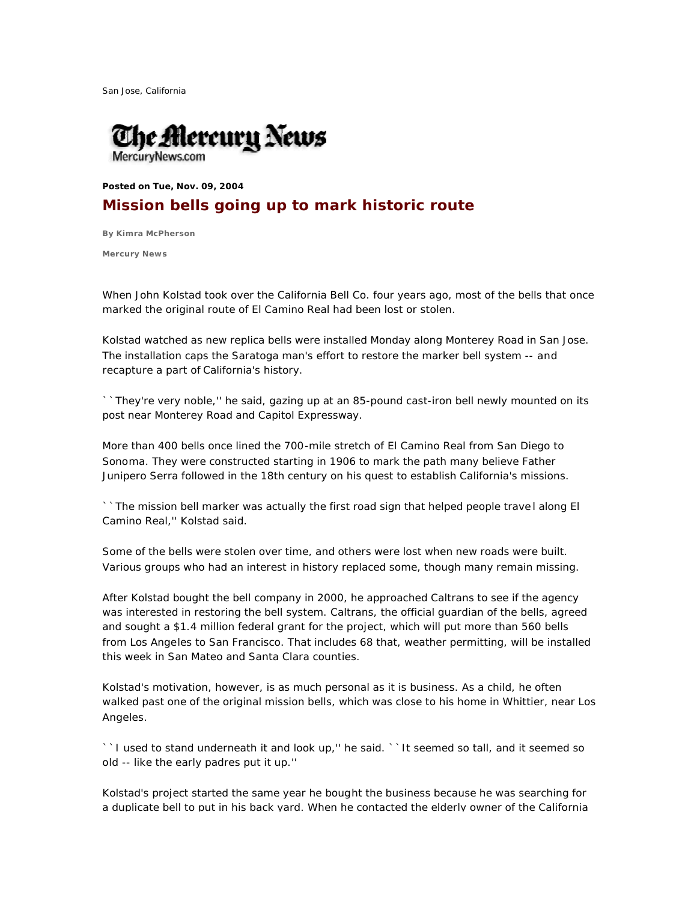San Jose, California



**Posted on Tue, Nov. 09, 2004** 

## **Mission bells going up to mark historic route**

**By Kimra McPherson**

**Mercury News**

When John Kolstad took over the California Bell Co. four years ago, most of the bells that once marked the original route of El Camino Real had been lost or stolen.

Kolstad watched as new replica bells were installed Monday along Monterey Road in San Jose. The installation caps the Saratoga man's effort to restore the marker bell system -- and recapture a part of California's history.

``They're very noble,'' he said, gazing up at an 85-pound cast-iron bell newly mounted on its post near Monterey Road and Capitol Expressway.

More than 400 bells once lined the 700-mile stretch of El Camino Real from San Diego to Sonoma. They were constructed starting in 1906 to mark the path many believe Father Junipero Serra followed in the 18th century on his quest to establish California's missions.

``The mission bell marker was actually the first road sign that helped people trave l along El Camino Real,'' Kolstad said.

Some of the bells were stolen over time, and others were lost when new roads were built. Various groups who had an interest in history replaced some, though many remain missing.

After Kolstad bought the bell company in 2000, he approached Caltrans to see if the agency was interested in restoring the bell system. Caltrans, the official guardian of the bells, agreed and sought a \$1.4 million federal grant for the project, which will put more than 560 bells from Los Angeles to San Francisco. That includes 68 that, weather permitting, will be installed this week in San Mateo and Santa Clara counties.

Kolstad's motivation, however, is as much personal as it is business. As a child, he often walked past one of the original mission bells, which was close to his home in Whittier, near Los Angeles.

``I used to stand underneath it and look up," he said. ``It seemed so tall, and it seemed so old -- like the early padres put it up.''

Kolstad's project started the same year he bought the business because he was searching for a duplicate bell to put in his back yard. When he contacted the elderly owner of the California